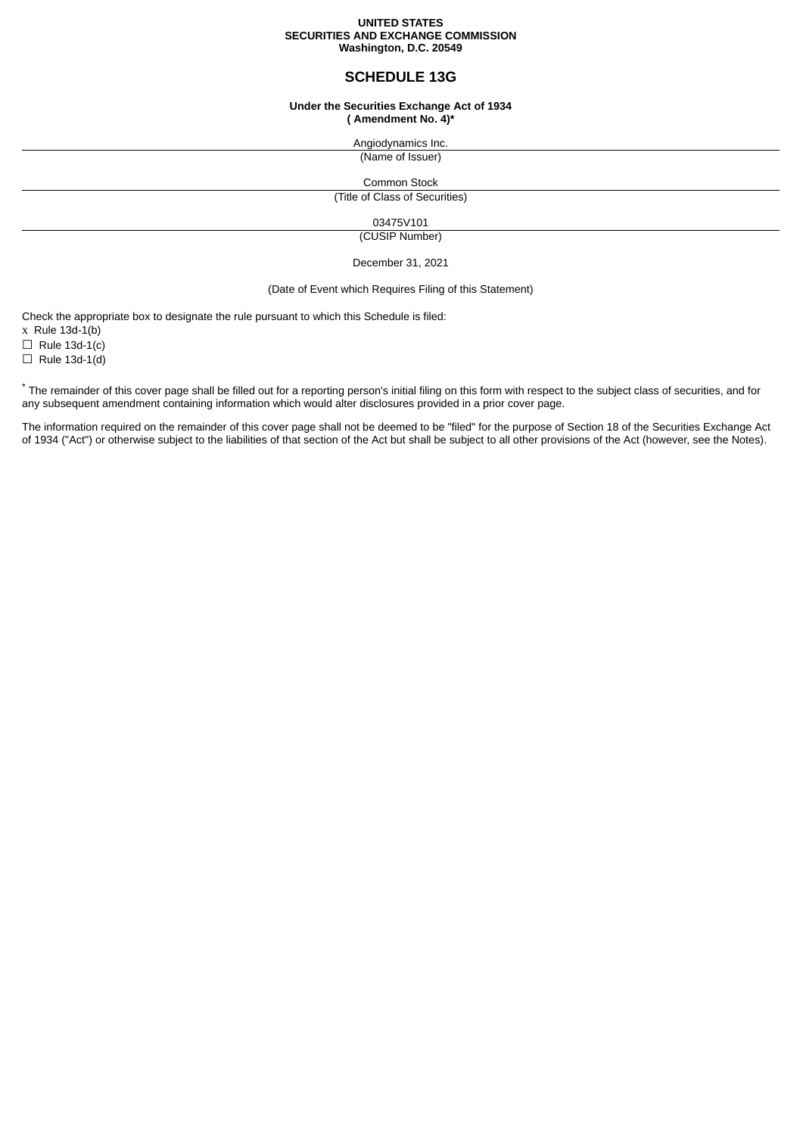#### **UNITED STATES SECURITIES AND EXCHANGE COMMISSION Washington, D.C. 20549**

# **SCHEDULE 13G**

#### **Under the Securities Exchange Act of 1934 ( Amendment No. 4)\***

Angiodynamics Inc. (Name of Issuer)

Common Stock (Title of Class of Securities)

03475V101

(CUSIP Number)

December 31, 2021

## (Date of Event which Requires Filing of this Statement)

Check the appropriate box to designate the rule pursuant to which this Schedule is filed:

 $x$  Rule 13d-1(b)

 $\Box$  Rule 13d-1(c)

 $\Box$  Rule 13d-1(d)

\* The remainder of this cover page shall be filled out for a reporting person's initial filing on this form with respect to the subject class of securities, and for any subsequent amendment containing information which would alter disclosures provided in a prior cover page.

The information required on the remainder of this cover page shall not be deemed to be "filed" for the purpose of Section 18 of the Securities Exchange Act of 1934 ("Act") or otherwise subject to the liabilities of that section of the Act but shall be subject to all other provisions of the Act (however, see the Notes).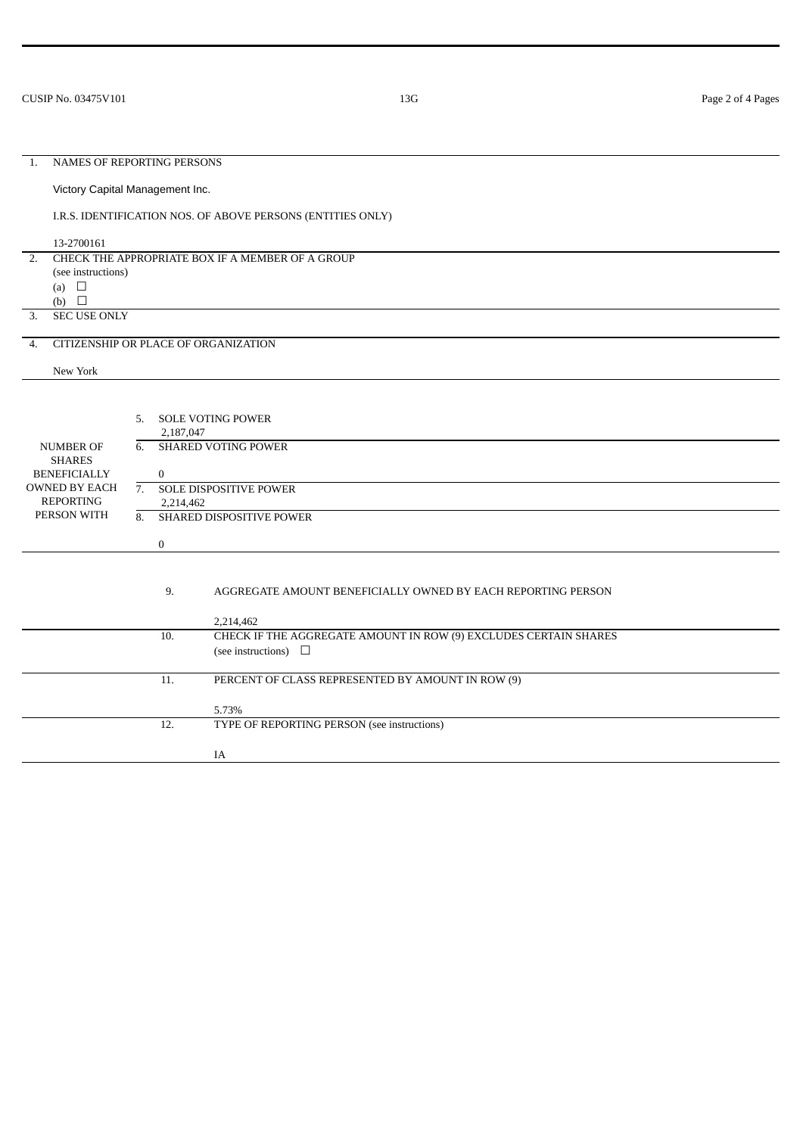# 1. NAMES OF REPORTING PERSONS Victory Capital Management Inc. I.R.S. IDENTIFICATION NOS. OF ABOVE PERSONS (ENTITIES ONLY) 13-2700161 2. CHECK THE APPROPRIATE BOX IF A MEMBER OF A GROUP (see instructions) (a)  $\Box$ (b)  $\Box$ 3. SEC USE ONLY 4. CITIZENSHIP OR PLACE OF ORGANIZATION New York NUMBER OF SHARES BENEFICIALLY OWNED BY EACH REPORTING PERSON WITH 5. SOLE VOTING POWER 2,187,047 6. SHARED VOTING POWER  $\Omega$ 7. SOLE DISPOSITIVE POWER 2,214,462 8. SHARED DISPOSITIVE POWER 0 9. AGGREGATE AMOUNT BENEFICIALLY OWNED BY EACH REPORTING PERSON 2,214,462 10. CHECK IF THE AGGREGATE AMOUNT IN ROW (9) EXCLUDES CERTAIN SHARES (see instructions)  $\quad \Box$ 11. PERCENT OF CLASS REPRESENTED BY AMOUNT IN ROW (9) 5.73% 12. TYPE OF REPORTING PERSON (see instructions) IA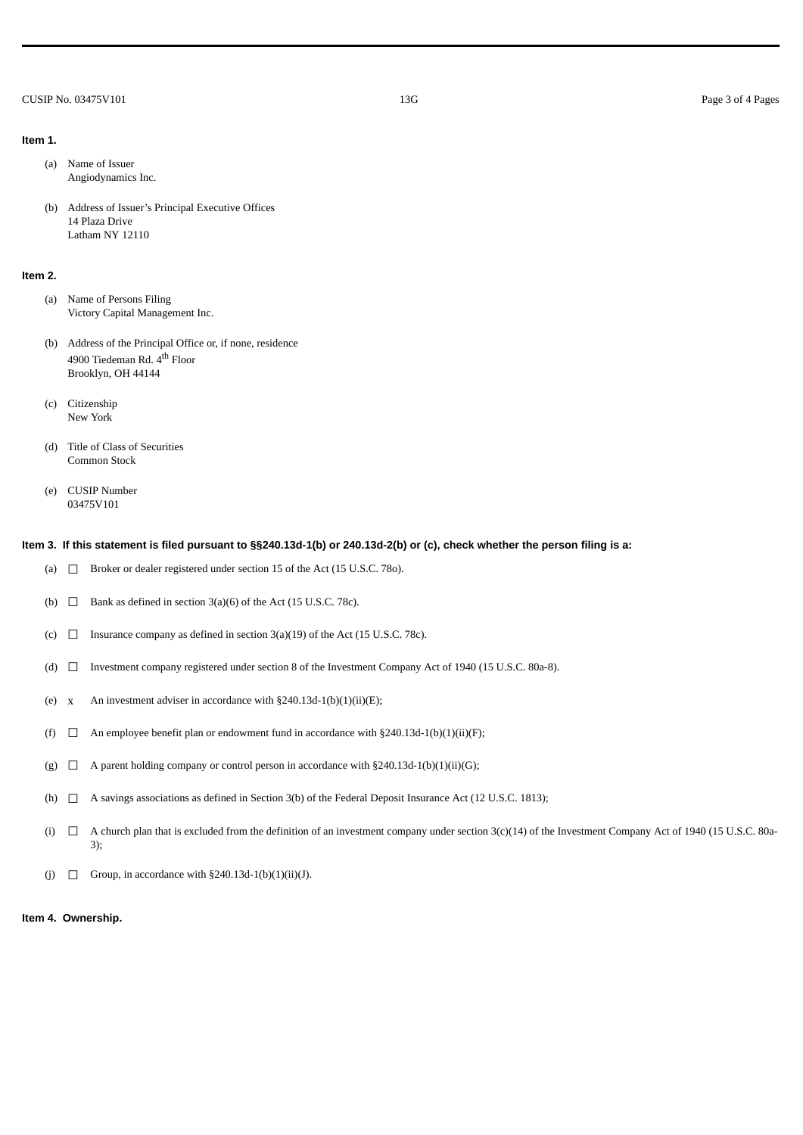#### CUSIP No. 03475V101 2003 Page 3 of 4 Pages

# **Item 1.**

- (a) Name of Issuer Angiodynamics Inc.
- (b) Address of Issuer's Principal Executive Offices 14 Plaza Drive Latham NY 12110

#### **Item 2.**

- (a) Name of Persons Filing Victory Capital Management Inc.
- (b) Address of the Principal Office or, if none, residence 4900 Tiedeman Rd. 4<sup>th</sup> Floor Brooklyn, OH 44144
- (c) Citizenship New York
- (d) Title of Class of Securities Common Stock
- (e) CUSIP Number 03475V101

#### **Item 3. If this statement is filed pursuant to §§240.13d-1(b) or 240.13d-2(b) or (c), check whether the person filing is a:**

- (a)  $\Box$  Broker or dealer registered under section 15 of the Act (15 U.S.C. 780).
- (b)  $\Box$  Bank as defined in section 3(a)(6) of the Act (15 U.S.C. 78c).
- (c)  $\Box$  Insurance company as defined in section 3(a)(19) of the Act (15 U.S.C. 78c).
- (d) ☐ Investment company registered under section 8 of the Investment Company Act of 1940 (15 U.S.C. 80a-8).
- (e) x An investment adviser in accordance with  $\S 240.13d-1(b)(1)(ii)(E)$ ;
- (f)  $\Box$  An employee benefit plan or endowment fund in accordance with §240.13d-1(b)(1)(ii)(F);
- (g)  $\Box$  A parent holding company or control person in accordance with §240.13d-1(b)(1)(ii)(G);
- (h) ☐ A savings associations as defined in Section 3(b) of the Federal Deposit Insurance Act (12 U.S.C. 1813);
- (i) ☐ A church plan that is excluded from the definition of an investment company under section 3(c)(14) of the Investment Company Act of 1940 (15 U.S.C. 80a-3);
- (j)  $\Box$  Group, in accordance with §240.13d-1(b)(1)(ii)(J).

#### **Item 4. Ownership.**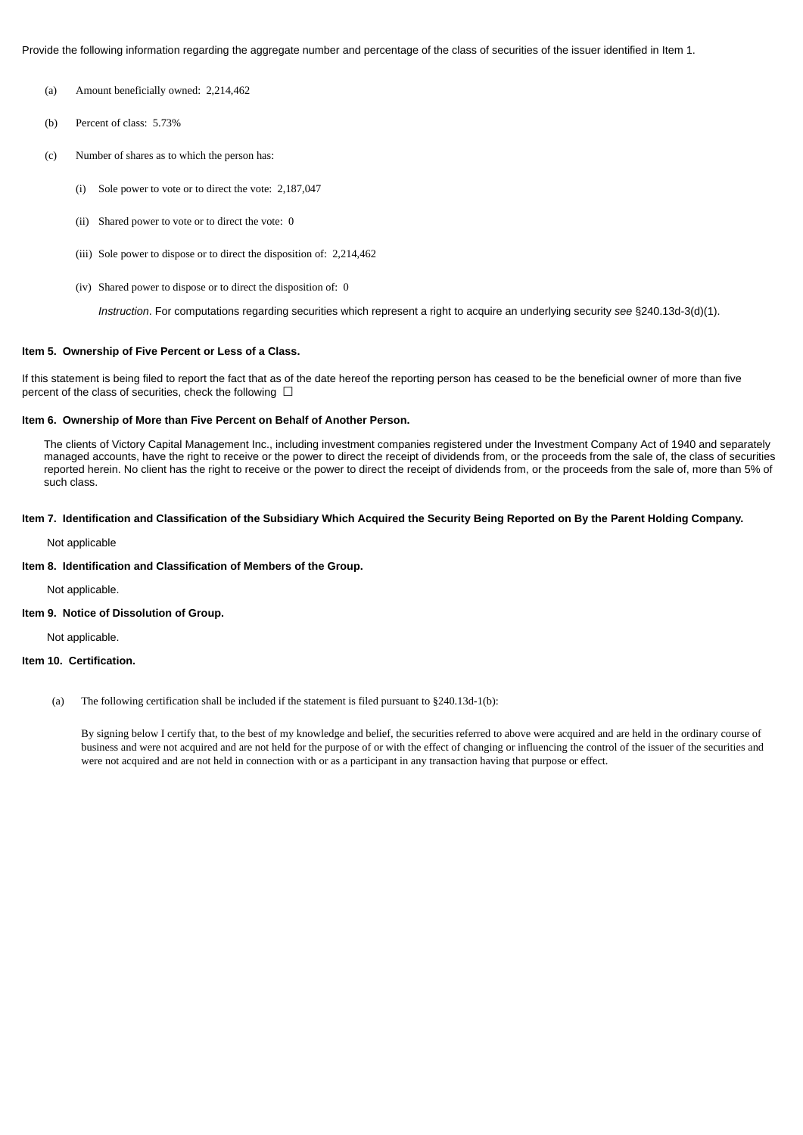Provide the following information regarding the aggregate number and percentage of the class of securities of the issuer identified in Item 1.

- (a) Amount beneficially owned: 2,214,462
- (b) Percent of class: 5.73%
- (c) Number of shares as to which the person has:
	- (i) Sole power to vote or to direct the vote: 2,187,047
	- (ii) Shared power to vote or to direct the vote: 0
	- (iii) Sole power to dispose or to direct the disposition of: 2,214,462
	- (iv) Shared power to dispose or to direct the disposition of: 0

*Instruction*. For computations regarding securities which represent a right to acquire an underlying security *see* §240.13d-3(d)(1).

#### **Item 5. Ownership of Five Percent or Less of a Class.**

If this statement is being filed to report the fact that as of the date hereof the reporting person has ceased to be the beneficial owner of more than five percent of the class of securities, check the following  $\Box$ 

### **Item 6. Ownership of More than Five Percent on Behalf of Another Person.**

The clients of Victory Capital Management Inc., including investment companies registered under the Investment Company Act of 1940 and separately managed accounts, have the right to receive or the power to direct the receipt of dividends from, or the proceeds from the sale of, the class of securities reported herein. No client has the right to receive or the power to direct the receipt of dividends from, or the proceeds from the sale of, more than 5% of such class.

#### **Item 7. Identification and Classification of the Subsidiary Which Acquired the Security Being Reported on By the Parent Holding Company.**

Not applicable

## **Item 8. Identification and Classification of Members of the Group.**

Not applicable.

# **Item 9. Notice of Dissolution of Group.**

Not applicable.

#### **Item 10. Certification.**

(a) The following certification shall be included if the statement is filed pursuant to §240.13d-1(b):

By signing below I certify that, to the best of my knowledge and belief, the securities referred to above were acquired and are held in the ordinary course of business and were not acquired and are not held for the purpose of or with the effect of changing or influencing the control of the issuer of the securities and were not acquired and are not held in connection with or as a participant in any transaction having that purpose or effect.